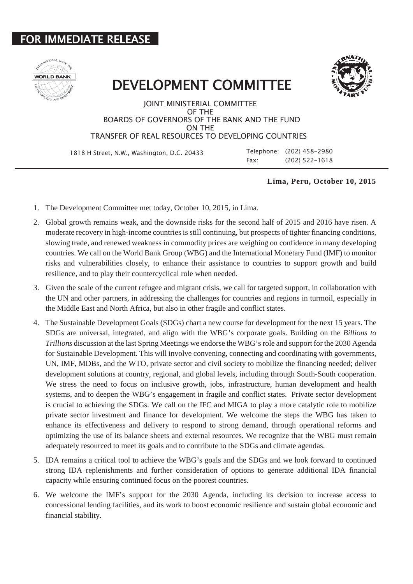## **IMMEDIATE RELEASE**





DEVELOPMENT COMMITTEE

JOINT MINISTERIAL COMMITTEE OF THE BOARDS OF GOVERNORS OF THE BANK AND THE FUND ON THE TRANSFER OF REAL RESOURCES TO DEVELOPING COUNTRIES

 1818 H Street, N.W., Washington, D.C. 20433 Telephone: (202) 458-2980 Fax: (202) 522-1618

## **Lima, Peru, October 10, 2015**

- 1. The Development Committee met today, October 10, 2015, in Lima.
- 2. Global growth remains weak, and the downside risks for the second half of 2015 and 2016 have risen. A moderate recovery in high-income countries is still continuing, but prospects of tighter financing conditions, slowing trade, and renewed weakness in commodity prices are weighing on confidence in many developing countries. We call on the World Bank Group (WBG) and the International Monetary Fund (IMF) to monitor risks and vulnerabilities closely, to enhance their assistance to countries to support growth and build resilience, and to play their countercyclical role when needed.
- 3. Given the scale of the current refugee and migrant crisis, we call for targeted support, in collaboration with the UN and other partners, in addressing the challenges for countries and regions in turmoil, especially in the Middle East and North Africa, but also in other fragile and conflict states.
- 4. The Sustainable Development Goals (SDGs) chart a new course for development for the next 15 years. The SDGs are universal, integrated, and align with the WBG's corporate goals. Building on the *Billions to Trillions* discussion at the last Spring Meetings we endorse the WBG's role and support for the 2030 Agenda for Sustainable Development. This will involve convening, connecting and coordinating with governments, UN, IMF, MDBs, and the WTO, private sector and civil society to mobilize the financing needed; deliver development solutions at country, regional, and global levels, including through South-South cooperation. We stress the need to focus on inclusive growth, jobs, infrastructure, human development and health systems, and to deepen the WBG's engagement in fragile and conflict states. Private sector development is crucial to achieving the SDGs. We call on the IFC and MIGA to play a more catalytic role to mobilize private sector investment and finance for development. We welcome the steps the WBG has taken to enhance its effectiveness and delivery to respond to strong demand, through operational reforms and optimizing the use of its balance sheets and external resources. We recognize that the WBG must remain adequately resourced to meet its goals and to contribute to the SDGs and climate agendas.
- 5. IDA remains a critical tool to achieve the WBG's goals and the SDGs and we look forward to continued strong IDA replenishments and further consideration of options to generate additional IDA financial capacity while ensuring continued focus on the poorest countries.
- 6. We welcome the IMF's support for the 2030 Agenda, including its decision to increase access to concessional lending facilities, and its work to boost economic resilience and sustain global economic and financial stability.